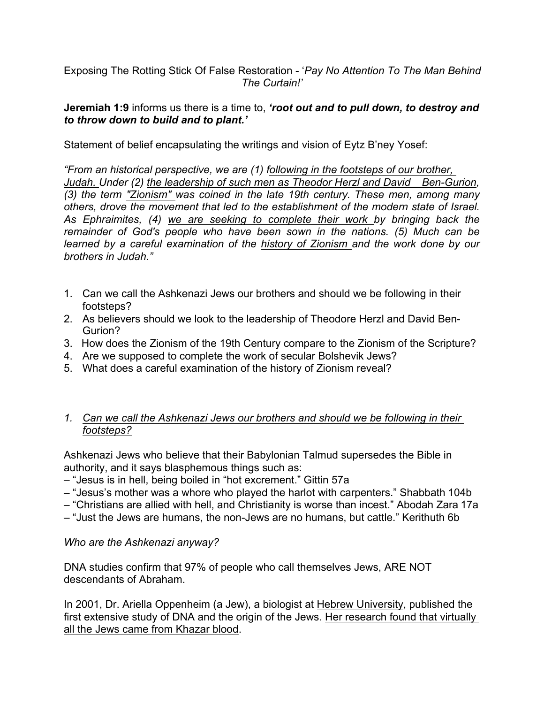Exposing The Rotting Stick Of False Restoration - '*Pay No Attention To The Man Behind The Curtain!'*

## **Jeremiah 1:9** informs us there is a time to, *'root out and to pull down, to destroy and to throw down to build and to plant.'*

Statement of belief encapsulating the writings and vision of Eytz B'ney Yosef:

*"From an historical perspective, we are (1) following in the footsteps of our brother, Judah. Under (2) the leadership of such men as Theodor Herzl and David Ben-Gurion, (3) the term "Zionism" was coined in the late 19th century. These men, among many others, drove the movement that led to the establishment of the modern state of Israel.*  As Ephraimites, (4) we are seeking to complete their work by bringing back the *remainder of God's people who have been sown in the nations. (5) Much can be learned by a careful examination of the history of Zionism and the work done by our brothers in Judah."*

- 1. Can we call the Ashkenazi Jews our brothers and should we be following in their footsteps?
- 2. As believers should we look to the leadership of Theodore Herzl and David Ben-Gurion?
- 3. How does the Zionism of the 19th Century compare to the Zionism of the Scripture?
- 4. Are we supposed to complete the work of secular Bolshevik Jews?
- 5. What does a careful examination of the history of Zionism reveal?

# *1. Can we call the Ashkenazi Jews our brothers and should we be following in their footsteps?*

Ashkenazi Jews who believe that their Babylonian Talmud supersedes the Bible in authority, and it says blasphemous things such as:

– "Jesus is in hell, being boiled in "hot excrement." Gittin 57a

– "Jesus's mother was a whore who played the harlot with carpenters." Shabbath 104b

– "Christians are allied with hell, and Christianity is worse than incest." Abodah Zara 17a

– "Just the Jews are humans, the non-Jews are no humans, but cattle." Kerithuth 6b

# *Who are the Ashkenazi anyway?*

DNA studies confirm that 97% of people who call themselves Jews, ARE NOT descendants of Abraham.

In 2001, Dr. Ariella Oppenheim (a Jew), a biologist at Hebrew University, published the first extensive study of DNA and the origin of the Jews. Her research found that virtually all the Jews came from Khazar blood.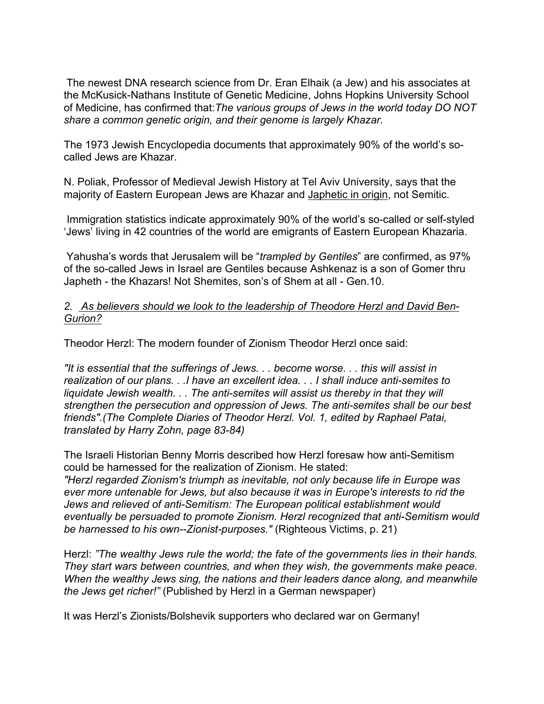The newest DNA research science from Dr. Eran Elhaik (a Jew) and his associates at the McKusick-Nathans Institute of Genetic Medicine, Johns Hopkins University School of Medicine, has confirmed that:*The various groups of Jews in the world today DO NOT share a common genetic origin, and their genome is largely Khazar.*

The 1973 Jewish Encyclopedia documents that approximately 90% of the world's socalled Jews are Khazar.

N. Poliak, Professor of Medieval Jewish History at Tel Aviv University, says that the majority of Eastern European Jews are Khazar and Japhetic in origin, not Semitic.

Immigration statistics indicate approximately 90% of the world's so-called or self-styled 'Jews' living in 42 countries of the world are emigrants of Eastern European Khazaria.

Yahusha's words that Jerusalem will be "*trampled by Gentiles*" are confirmed, as 97% of the so-called Jews in Israel are Gentiles because Ashkenaz is a son of Gomer thru Japheth - the Khazars! Not Shemites, son's of Shem at all - Gen.10.

### *2. As believers should we look to the leadership of Theodore Herzl and David Ben-Gurion?*

Theodor Herzl: The modern founder of Zionism Theodor Herzl once said:

*"It is essential that the sufferings of Jews. . . become worse. . . this will assist in realization of our plans. . .I have an excellent idea. . . I shall induce anti-semites to liquidate Jewish wealth. . . The anti-semites will assist us thereby in that they will strengthen the persecution and oppression of Jews. The anti-semites shall be our best friends".(The Complete Diaries of Theodor Herzl. Vol. 1, edited by Raphael Patai, translated by Harry Zohn, page 83-84)*

The Israeli Historian Benny Morris described how Herzl foresaw how anti-Semitism could be harnessed for the realization of Zionism. He stated: *"Herzl regarded Zionism's triumph as inevitable, not only because life in Europe was ever more untenable for Jews, but also because it was in Europe's interests to rid the Jews and relieved of anti-Semitism: The European political establishment would eventually be persuaded to promote Zionism. Herzl recognized that anti-Semitism would be harnessed to his own--Zionist-purposes."* (Righteous Victims, p. 21)

Herzl: *"The wealthy Jews rule the world; the fate of the governments lies in their hands. They start wars between countries, and when they wish, the governments make peace. When the wealthy Jews sing, the nations and their leaders dance along, and meanwhile the Jews get richer!"* (Published by Herzl in a German newspaper)

It was Herzl's Zionists/Bolshevik supporters who declared war on Germany!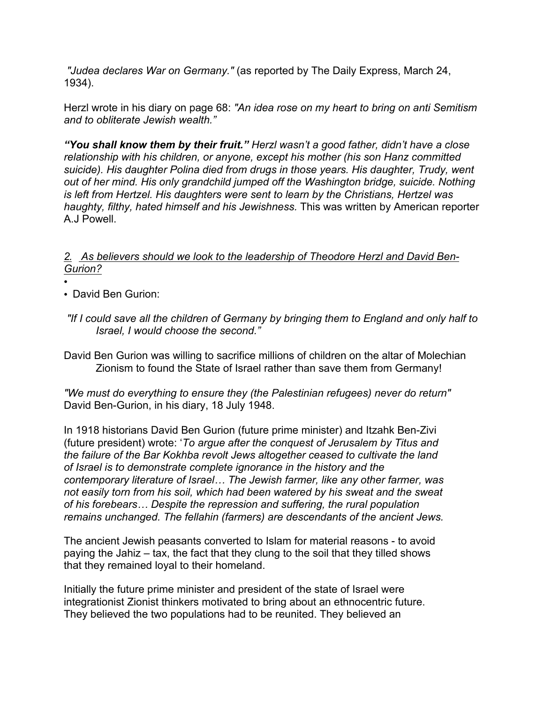*"Judea declares War on Germany."* (as reported by The Daily Express, March 24, 1934).

Herzl wrote in his diary on page 68: *"An idea rose on my heart to bring on anti Semitism and to obliterate Jewish wealth."*

*"You shall know them by their fruit." Herzl wasn't a good father, didn't have a close relationship with his children, or anyone, except his mother (his son Hanz committed suicide). His daughter Polina died from drugs in those years. His daughter, Trudy, went out of her mind. His only grandchild jumped off the Washington bridge, suicide. Nothing is left from Hertzel. His daughters were sent to learn by the Christians, Hertzel was haughty, filthy, hated himself and his Jewishness.* This was written by American reporter A.J Powell.

# *2. As believers should we look to the leadership of Theodore Herzl and David Ben-Gurion?*

- •
- David Ben Gurion:
- *"If I could save all the children of Germany by bringing them to England and only half to Israel, I would choose the second."*

David Ben Gurion was willing to sacrifice millions of children on the altar of Molechian Zionism to found the State of Israel rather than save them from Germany!

*"We must do everything to ensure they (the Palestinian refugees) never do return"* David Ben-Gurion, in his diary, 18 July 1948.

In 1918 historians David Ben Gurion (future prime minister) and Itzahk Ben-Zivi (future president) wrote: '*To argue after the conquest of Jerusalem by Titus and the failure of the Bar Kokhba revolt Jews altogether ceased to cultivate the land of Israel is to demonstrate complete ignorance in the history and the contemporary literature of Israel… The Jewish farmer, like any other farmer, was not easily torn from his soil, which had been watered by his sweat and the sweat of his forebears… Despite the repression and suffering, the rural population remains unchanged. The fellahin (farmers) are descendants of the ancient Jews.*

The ancient Jewish peasants converted to Islam for material reasons - to avoid paying the Jahiz – tax, the fact that they clung to the soil that they tilled shows that they remained loyal to their homeland.

Initially the future prime minister and president of the state of Israel were integrationist Zionist thinkers motivated to bring about an ethnocentric future. They believed the two populations had to be reunited. They believed an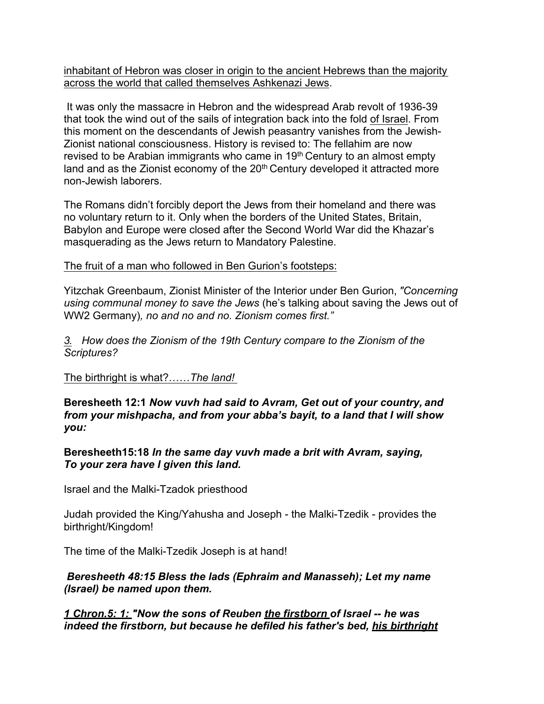inhabitant of Hebron was closer in origin to the ancient Hebrews than the majority across the world that called themselves Ashkenazi Jews.

It was only the massacre in Hebron and the widespread Arab revolt of 1936-39 that took the wind out of the sails of integration back into the fold of Israel. From this moment on the descendants of Jewish peasantry vanishes from the Jewish-Zionist national consciousness. History is revised to: The fellahim are now revised to be Arabian immigrants who came in 19<sup>th</sup> Century to an almost empty land and as the Zionist economy of the 20<sup>th</sup> Century developed it attracted more non-Jewish laborers.

The Romans didn't forcibly deport the Jews from their homeland and there was no voluntary return to it. Only when the borders of the United States, Britain, Babylon and Europe were closed after the Second World War did the Khazar's masquerading as the Jews return to Mandatory Palestine.

The fruit of a man who followed in Ben Gurion's footsteps:

Yitzchak Greenbaum, Zionist Minister of the Interior under Ben Gurion, *"Concerning using communal money to save the Jews* (he's talking about saving the Jews out of WW2 Germany)*, no and no and no. Zionism comes first."*

*3. How does the Zionism of the 19th Century compare to the Zionism of the Scriptures?*

The birthright is what?……*The land!* 

**Beresheeth 12:1** *Now vuvh had said to Avram, Get out of your country, and from your mishpacha, and from your abba's bayit, to a land that I will show you:*

**Beresheeth15:18** *In the same day vuvh made a brit with Avram, saying, To your zera have I given this land.*

Israel and the Malki-Tzadok priesthood

Judah provided the King/Yahusha and Joseph - the Malki-Tzedik - provides the birthright/Kingdom!

The time of the Malki-Tzedik Joseph is at hand!

*Beresheeth 48:15 Bless the lads (Ephraim and Manasseh); Let my name (Israel) be named upon them.*

*1 Chron.5: 1: "Now the sons of Reuben the firstborn of Israel -- he was indeed the firstborn, but because he defiled his father's bed, his birthright*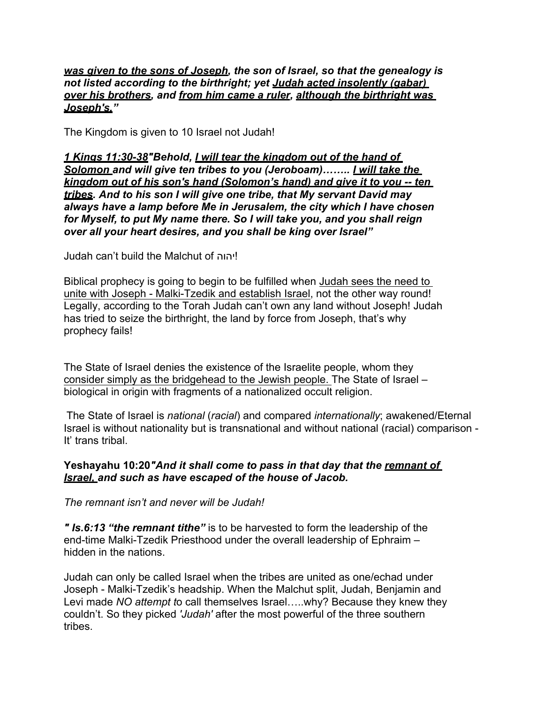#### *was given to the sons of Joseph, the son of Israel, so that the genealogy is not listed according to the birthright; yet Judah acted insolently (gabar) over his brothers, and from him came a ruler, although the birthright was Joseph's."*

The Kingdom is given to 10 Israel not Judah!

*1 Kings 11:30-38"Behold, I will tear the kingdom out of the hand of Solomon and will give ten tribes to you (Jeroboam)…….. I will take the kingdom out of his son's hand (Solomon's hand) and give it to you -- ten tribes. And to his son I will give one tribe, that My servant David may always have a lamp before Me in Jerusalem, the city which I have chosen for Myself, to put My name there. So I will take you, and you shall reign over all your heart desires, and you shall be king over Israel"*

Judah can't build the Malchut of יהוה!

Biblical prophecy is going to begin to be fulfilled when Judah sees the need to unite with Joseph - Malki-Tzedik and establish Israel, not the other way round! Legally, according to the Torah Judah can't own any land without Joseph! Judah has tried to seize the birthright, the land by force from Joseph, that's why prophecy fails!

The State of Israel denies the existence of the Israelite people, whom they consider simply as the bridgehead to the Jewish people. The State of Israel – biological in origin with fragments of a nationalized occult religion.

The State of Israel is *national* (*racial*) and compared *internationally*; awakened/Eternal Israel is without nationality but is transnational and without national (racial) comparison - It' trans tribal.

## **Yeshayahu 10:20***"And it shall come to pass in that day that the remnant of Israel, and such as have escaped of the house of Jacob.*

*The remnant isn't and never will be Judah!*

*" Is.6:13 "the remnant tithe"* is to be harvested to form the leadership of the end-time Malki-Tzedik Priesthood under the overall leadership of Ephraim – hidden in the nations.

Judah can only be called Israel when the tribes are united as one/echad under Joseph - Malki-Tzedik's headship. When the Malchut split, Judah, Benjamin and Levi made *NO attempt t*o call themselves Israel…..why? Because they knew they couldn't. So they picked *'Judah'* after the most powerful of the three southern tribes.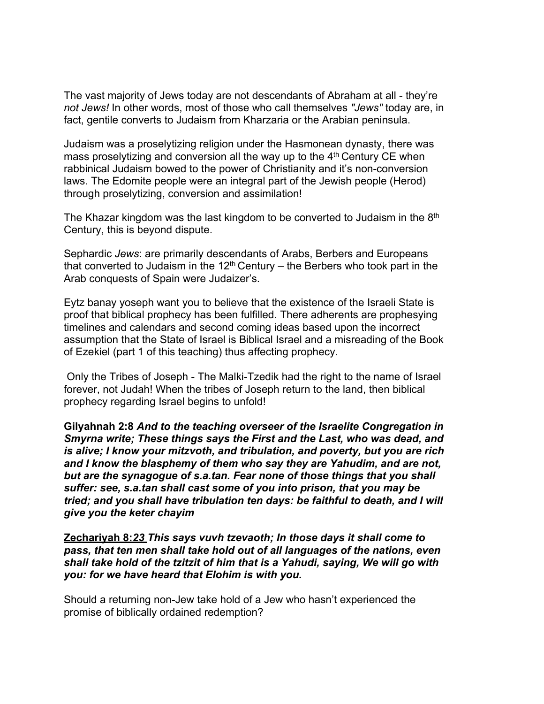The vast majority of Jews today are not descendants of Abraham at all - they're *not Jews!* In other words, most of those who call themselves *"Jews"* today are, in fact, gentile converts to Judaism from Kharzaria or the Arabian peninsula.

Judaism was a proselytizing religion under the Hasmonean dynasty, there was mass proselytizing and conversion all the way up to the  $4<sup>th</sup>$  Century CE when rabbinical Judaism bowed to the power of Christianity and it's non-conversion laws. The Edomite people were an integral part of the Jewish people (Herod) through proselytizing, conversion and assimilation!

The Khazar kingdom was the last kingdom to be converted to Judaism in the  $8<sup>th</sup>$ Century, this is beyond dispute.

Sephardic *Jews*: are primarily descendants of Arabs, Berbers and Europeans that converted to Judaism in the  $12<sup>th</sup>$  Century – the Berbers who took part in the Arab conquests of Spain were Judaizer's.

Eytz banay yoseph want you to believe that the existence of the Israeli State is proof that biblical prophecy has been fulfilled. There adherents are prophesying timelines and calendars and second coming ideas based upon the incorrect assumption that the State of Israel is Biblical Israel and a misreading of the Book of Ezekiel (part 1 of this teaching) thus affecting prophecy.

Only the Tribes of Joseph - The Malki-Tzedik had the right to the name of Israel forever, not Judah! When the tribes of Joseph return to the land, then biblical prophecy regarding Israel begins to unfold!

**Gilyahnah 2:8** *And to the teaching overseer of the Israelite Congregation in Smyrna write; These things says the First and the Last, who was dead, and is alive; I know your mitzvoth, and tribulation, and poverty, but you are rich and I know the blasphemy of them who say they are Yahudim, and are not, but are the synagogue of s.a.tan. Fear none of those things that you shall suffer: see, s.a.tan shall cast some of you into prison, that you may be tried; and you shall have tribulation ten days: be faithful to death, and I will give you the keter chayim*

**Zechariyah 8:***23 This says vuvh tzevaoth; In those days it shall come to pass, that ten men shall take hold out of all languages of the nations, even shall take hold of the tzitzit of him that is a Yahudi, saying, We will go with you: for we have heard that Elohim is with you.*

Should a returning non-Jew take hold of a Jew who hasn't experienced the promise of biblically ordained redemption?